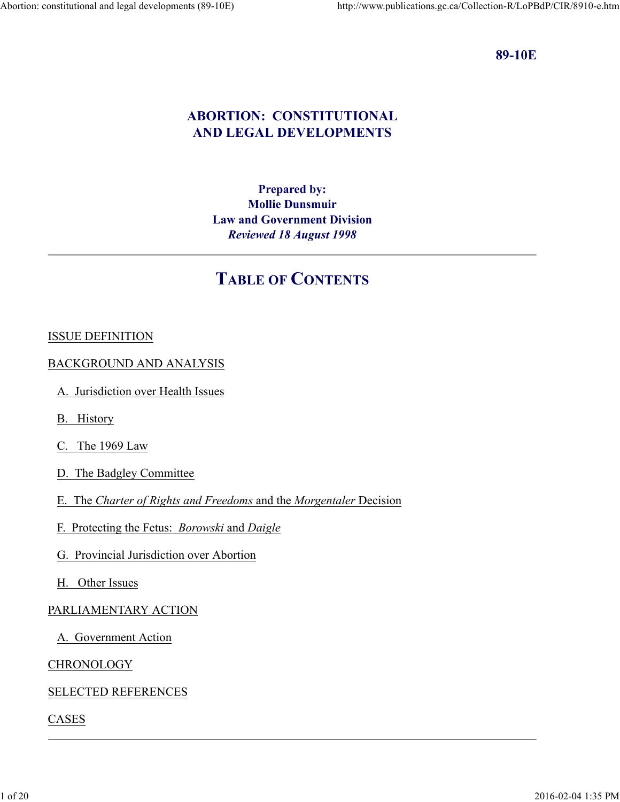#### 89-10E

# ABORTION: CONSTITUTIONAL AND LEGAL DEVELOPMENTS

# Prepared by: Mollie Dunsmuir Law and Government Division Reviewed 18 August 1998

# TABLE OF CONTENTS

# ISSUE DEFINITION

#### BACKGROUND AND ANALYSIS

- A. Jurisdiction over Health Issues
- B. History
- C. The 1969 Law
- D. The Badgley Committee
- E. The Charter of Rights and Freedoms and the Morgentaler Decision
- F. Protecting the Fetus: Borowski and Daigle
- G. Provincial Jurisdiction over Abortion 1 of 20 2016-02-04 1:35 PM
	- H. Other Issues

#### PARLIAMENTARY ACTION

A. Government Action

#### **CHRONOLOGY**

# SELECTED REFERENCES

#### CASES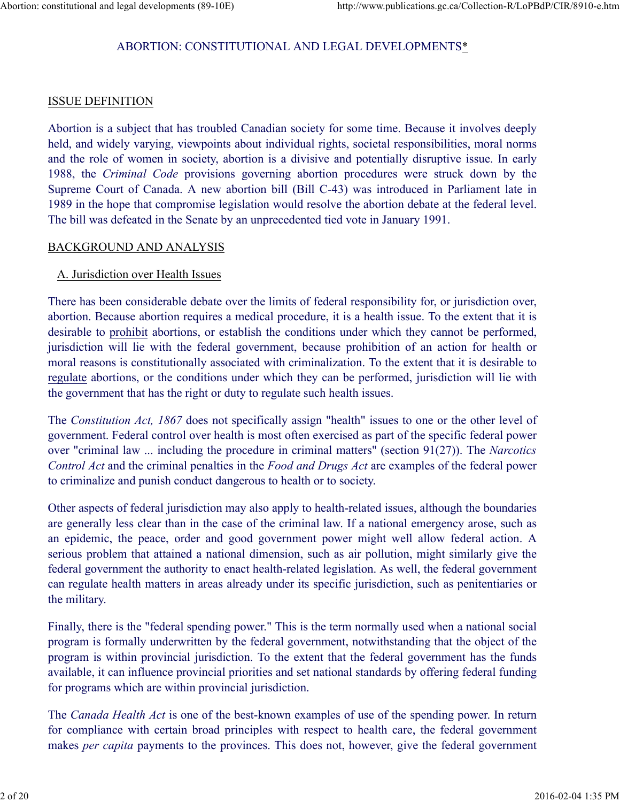# ABORTION: CONSTITUTIONAL AND LEGAL DEVELOPMENTS\* Abortion: constitutional and legal developments (89-10E) http://www.publications.gc.ca/Collection-R/LoPBdP/CIR/8910-e.htm<br>ABORTION: CONSTITUTIONAL AND LEGAL DEVELOPMENTS\*

#### ISSUE DEFINITION

Abortion is a subject that has troubled Canadian society for some time. Because it involves deeply held, and widely varying, viewpoints about individual rights, societal responsibilities, moral norms and the role of women in society, abortion is a divisive and potentially disruptive issue. In early 1988, the *Criminal* Code provisions governing abortion and respect to the CRIM abortion is a subject that has troubled Canadian society for some time. Because it involves deeply abortion is a subject that has troubled Can Supreme Court of Canada. A new abortion bill (Bill C-43) was introduced in Parliament late in 1989 in the hope that compromise legislation would resolve the abortion debate at the federal level. The bill was defeated in the Senate by an unprecedented tied vote in January 1991.

#### BACKGROUND AND ANALYSIS

#### A. Jurisdiction over Health Issues

There has been considerable debate over the limits of federal responsibility for, or jurisdiction over, abortion. Because abortion requires a medical procedure, it is a health issue. To the extent that it is desirable to prohibit abortions, or establish the conditions under which they cannot be performed, jurisdiction will lie with the federal government, because prohibition of an action for health or moral reasons is constitutionally associated with criminalization. To the extent that it is desirable to regulate abortions, or the conditions under which they can be performed, jurisdiction will lie with the government that has the right or duty to regulate such health issues.

The Constitution Act, 1867 does not specifically assign "health" issues to one or the other level of government. Federal control over health is most often exercised as part of the specific federal power over "criminal law ... including the procedure in criminal matters" (section 91(27)). The Narcotics Control Act and the criminal penalties in the Food and Drugs Act are examples of the federal power to criminalize and punish conduct dangerous to health or to society.

Other aspects of federal jurisdiction may also apply to health-related issues, although the boundaries are generally less clear than in the case of the criminal law. If a national emergency arose, such as an epidemic, the peace, order and good government power might well allow federal action. A serious problem that attained a national dimension, such as air pollution, might similarly give the federal government the authority to enact health-related legislation. As well, the federal government can regulate health matters in areas already under its specific jurisdiction, such as penitentiaries or the military.

Finally, there is the "federal spending power." This is the term normally used when a national social program is formally underwritten by the federal government, notwithstanding that the object of the program is within provincial jurisdiction. To the extent that the federal government has the funds available, it can influence provincial priorities and set national standards by offering federal funding for programs which are within provincial jurisdiction. an epidemic, the peace, order and good government power might well allow federal action. A serious problem that attained a national dimension, such as a repolltion, might similarly give the federal government the authorit

The Canada Health Act is one of the best-known examples of use of the spending power. In return for compliance with certain broad principles with respect to health care, the federal government makes *per capita* payments to the provinces. This does not, however, give the federal government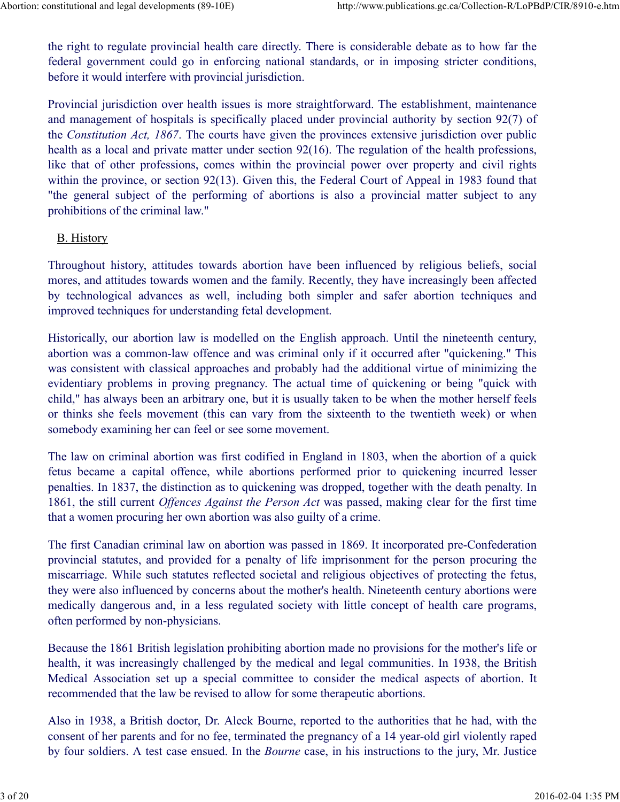the right to regulate provincial health care directly. There is considerable debate as to how far the federal government could go in enforcing national standards, or in imposing stricter conditions, before it would interfere with provincial jurisdiction. Abortion: constitutional and legal developments (89-10E) http://www.publications.gc.ca/Collection-R/LoPBdP/CIR/8910-e.htm<br>the right to regulate provincial health care directly. There is considerable debate as to how far th

Provincial jurisdiction over health issues is more straightforward. The establishment, maintenance and management of hospitals is specifically placed under provincial authority by section 92(7) of the Constitution Act, 1867. The courts have given the provinces extensive jurisdiction over public health as a local and private matter under section 92(16). The regulation of the health professions, like that of other professions, comes within the provincial power over property and civil rights within the province, or section 92(13). Given this, the Federal Court of Appeal in 1983 found that mstitutional and legal developments (89-10E) http://www.publications.gc.ca/Collection-R/LoPBdP/CIR/8910-e.htm<br>the right to regulate provincial health care directly. There is considerable debate as to how far the<br>federal go prohibitions of the criminal law." the right to regulate provincial health care directly. There is considerable debate as to how far the federal government could go in enforcing national standards, or in imposing stricter conditions,<br>before it would interfe

#### B. History

Throughout history, attitudes towards abortion have been influenced by religious beliefs, social mores, and attitudes towards women and the family. Recently, they have increasingly been affected improved techniques for understanding fetal development.

Historically, our abortion law is modelled on the English approach. Until the nineteenth century, abortion was a common-law offence and was criminal only if it occurred after "quickening." This was consistent with classical approaches and probably had the additional virtue of minimizing the evidentiary problems in proving pregnancy. The actual time of quickening or being "quick with child," has always been an arbitrary one, but it is usually taken to be when the mother herself feels or thinks she feels movement (this can vary from the sixteenth to the twentieth week) or when somebody examining her can feel or see some movement. **FET THE EXECUTE THE CONDUCT THE CONDUCT THE CONDUCT THE CONDUCT THE CONDUCT THE CONDUCT THE CONDUCT CONDUCT ABOT CONDUCT THE CONDUCT CONDUCT THE UNITE CONDUCT THE UNITE CONDUCT THE CONDUCT CONDUCT THE CONDUCT CONDUCT THE** 

The law on criminal abortion was first codified in England in 1803, when the abortion of a quick penalties. In 1837, the distinction as to quickening was dropped, together with the death penalty. In 1861, the still current Offences Against the Person Act was passed, making clear for the first time that a women procuring her own abortion was also guilty of a crime.

The first Canadian criminal law on abortion was passed in 1869. It incorporated pre-Confederation provincial statutes, and provided for a penalty of life imprisonment for the person procuring the miscarriage. While such statutes reflected societal and religious objectives of protecting the fetus, they were also influenced by concerns about the mother's health. Nineteenth century abortions were medically dangerous and, in a less regulated society with little concept of health care programs, often performed by non-physicians. The first Canadian criminal law on abortion was passed in 1869. It incorporated pre-Confederation<br>provincial statutes, and provided for a penalty of life imprisonment for the person procuring the<br>misearariage. While such

Because the 1861 British legislation prohibiting abortion made no provisions for the mother's life or health, it was increasingly challenged by the medical and legal communities. In 1938, the British Medical Association set up a special committee to consider the medical aspects of abortion. It recommended that the law be revised to allow for some therapeutic abortions.

Also in 1938, a British doctor, Dr. Aleck Bourne, reported to the authorities that he had, with the consent of her parents and for no fee, terminated the pregnancy of a 14 year-old girl violently raped by four soldiers. A test case ensued. In the Bourne case, in his instructions to the jury, Mr. Justice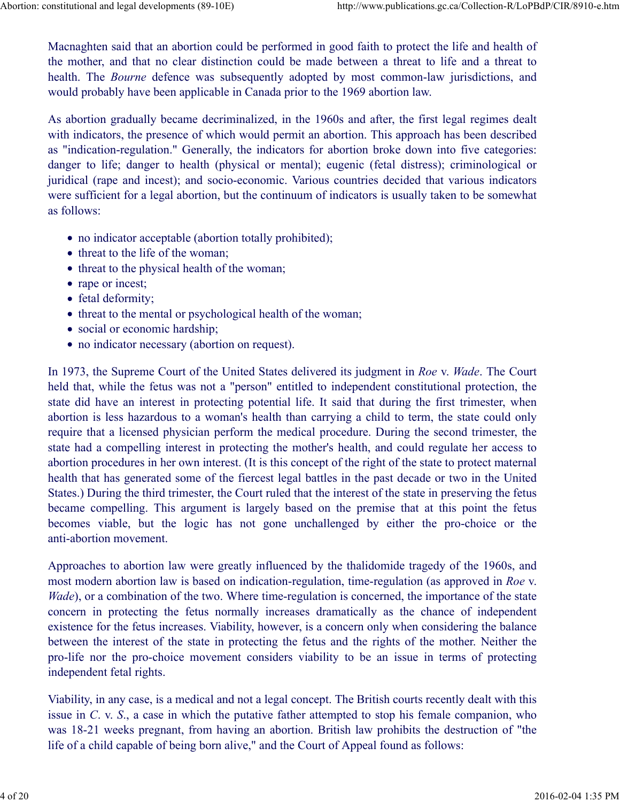Macnaghten said that an abortion could be performed in good faith to protect the life and health of the mother, and that no clear distinction could be made between a threat to life and a threat to health. The *Bourne* defence was subsequently adopted by most common-law jurisdictions, and would probably have been applicable in Canada prior to the 1969 abortion law. Abortion: constitutional and legal developments (89-10E) http://www.publications.gc.ca/Collection-R/LoPBdP/CIR/8910-e.htm<br>Macnaghten said that an abortion could be performed in good faith to protect the life and health of<br>

As abortion gradually became decriminalized, in the 1960s and after, the first legal regimes dealt with indicators, the presence of which would permit an abortion. This approach has been described as "indication-regulation." Generally, the indicators for abortion broke down into five categories: danger to life; danger to health (physical or mental); eugenic (fetal distress); criminological or juridical (rape and incest); and socio-economic. Various countries decided that various indicators were sufficient for a legal abortion, but the continuum of indicators is usually taken to be somewhat as follows:

- no indicator acceptable (abortion totally prohibited);
- threat to the life of the woman;
- threat to the physical health of the woman;
- rape or incest;
- fetal deformity;
- threat to the mental or psychological health of the woman;
- social or economic hardship;
- no indicator necessary (abortion on request).

In 1973, the Supreme Court of the United States delivered its judgment in Roe v. Wade. The Court held that, while the fetus was not a "person" entitled to independent constitutional protection, the state did have an interest in protecting potential life. It said that during the first trimester, when abortion is less hazardous to a woman's health than carrying a child to term, the state could only require that a licensed physician perform the medical procedure. During the second trimester, the state had a compelling interest in protecting the mother's health, and could regulate her access to abortion procedures in her own interest. (It is this concept of the right of the state to protect maternal health that has generated some of the fiercest legal battles in the past decade or two in the United States.) During the third trimester, the Court ruled that the interest of the state in preserving the fetus became compelling. This argument is largely based on the premise that at this point the fetus **•** threat to the physical health of the woman;<br>• **From** or incest;<br>**•** stati deformity;<br>• therat to the mental or psychological health of the woman;<br>• social or economic hardship;<br>• no indicator necessary (abortion on re anti-abortion movement. In 1973, the Supreme Court of the United States delivered its judgment in Roe v. Wade. The Court<br>held that, while the fetus was not a "person" entitled to independent constitutional protection, the<br>state did have an inter

Approaches to abortion law were greatly influenced by the thalidomide tragedy of the 1960s, and most modern abortion law is based on indication-regulation, time-regulation (as approved in Roe v. Wade), or a combination of the two. Where time-regulation is concerned, the importance of the state existence for the fetus increases. Viability, however, is a concern only when considering the balance between the interest of the state in protecting the fetus and the rights of the mother. Neither the pro-life nor the pro-choice movement considers viability to be an issue in terms of protecting independent fetal rights. anti-abortion movement.<br>
Approaches to abortion law were greatly influenced by the thalidomide tragedy of the 1960s, and<br>
most modern abortion law is based on indication-regulation, time-regulation (as approved in *Roe v.* 

Viability, in any case, is a medical and not a legal concept. The British courts recently dealt with this issue in C. v. S., a case in which the putative father attempted to stop his female companion, who was 18-21 weeks pregnant, from having an abortion. British law prohibits the destruction of "the life of a child capable of being born alive," and the Court of Appeal found as follows: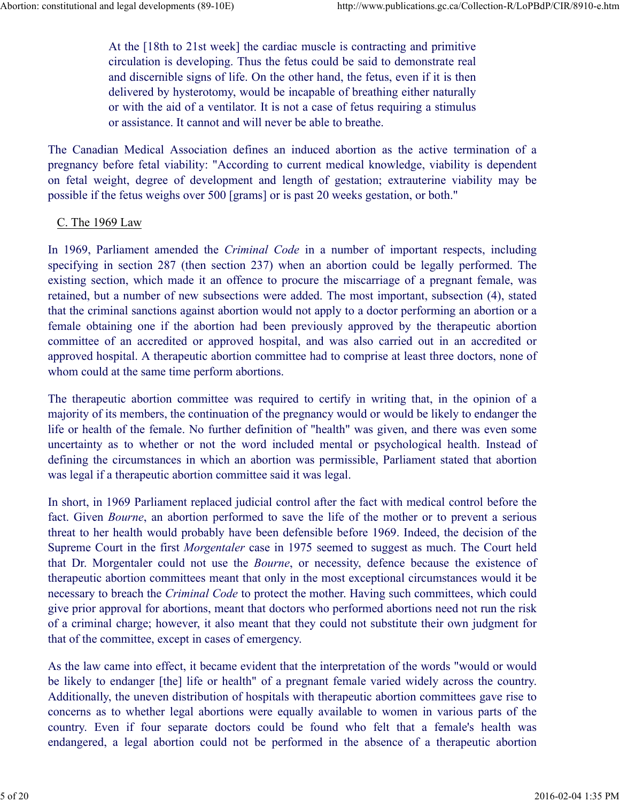At the [18th to 21st week] the cardiac muscle is contracting and primitive circulation is developing. Thus the fetus could be said to demonstrate real and discernible signs of life. On the other hand, the fetus, even if it is then delivered by hysterotomy, would be incapable of breathing either naturally or with the aid of a ventilator. It is not a case of fetus requiring a stimulus or assistance. It cannot and will never be able to breathe. on fitterior and legal developments (89-10E) http://www.publications.gc.ca/Collection-R/LoPBdP/CIR/8910-e.htm<br>
At the [18th to 21st week] the cardiac muscle is contracting and primitive<br>
circulation is developing. Thus the Abortion: constitutional and legal developments (89-10E) http://www.publications.gc.ca/Collection-R/LoPBdP/CIR/8910-e.htm<br>At the [18th to 21st week] the cardiac muscle is contracting and primitive<br>circulation is developing

The Canadian Medical Association defines an induced abortion as the active termination of a pregnancy before fetal viability: "According to current medical knowledge, viability is dependent possible if the fetus weighs over 500 [grams] or is past 20 weeks gestation, or both."

#### C. The 1969 Law

In 1969, Parliament amended the *Criminal Code* in a number of important respects, including specifying in section 287 (then section 237) when an abortion could be legally performed. The existing section, which made it an offence to procure the miscarriage of a pregnant female, was retained, but a number of new subsections were added. The most important, subsection (4), stated that the criminal sanctions against abortion would not apply to a doctor performing an abortion or a female obtaining one if the abortion had been previously approved by the therapeutic abortion committee of an accredited or approved hospital, and was also carried out in an accredited or approved hospital. A therapeutic abortion committee had to comprise at least three doctors, none of whom could at the same time perform abortions.

The therapeutic abortion committee was required to certify in writing that, in the opinion of a majority of its members, the continuation of the pregnancy would or would be likely to endanger the life or health of the female. No further definition of "health" was given, and there was even some uncertainty as to whether or not the word included mental or psychological health. Instead of defining the circumstances in which an abortion was permissible, Parliament stated that abortion was legal if a therapeutic abortion committee said it was legal.

In short, in 1969 Parliament replaced judicial control after the fact with medical control before the fact. Given Bourne, an abortion performed to save the life of the mother or to prevent a serious threat to her health would probably have been defensible before 1969. Indeed, the decision of the Supreme Court in the first Morgentaler case in 1975 seemed to suggest as much. The Court held that Dr. Morgentaler could not use the Bourne, or necessity, defence because the existence of therapeutic abortion committees meant that only in the most exceptional circumstances would it be necessary to breach the Criminal Code to protect the mother. Having such committees, which could give prior approval for abortions, meant that doctors who performed abortions need not run the risk of a criminal charge; however, it also meant that they could not substitute their own judgment for that of the committee, except in cases of emergency. was legal if a therapeutic abortion committee said it was legal.<br>In short, in 1969 Parliament replaced judicial control after the fact with medical control before the fact. Given *Bourne*, an abortion performed to save th In short, in 1969 Parliament replaced judicial control after the fact with medical control before the fact. Given *Bourne*, an abortion performed to save the life of the mother or to prevent a serious threat to her health Superine Court in the first *Morgentaler* case in UPTS seemed to suggest as much. The Court held<br>Superime Court in the first *Morgentaler* case in UPTS seemed to suggest as much. The Court held<br>that Dr. Morgentaler could

As the law came into effect, it became evident that the interpretation of the words "would or would be likely to endanger [the] life or health" of a pregnant female varied widely across the country. Additionally, the uneven distribution of hospitals with therapeutic abortion committees gave rise to concerns as to whether legal abortions were equally available to women in various parts of the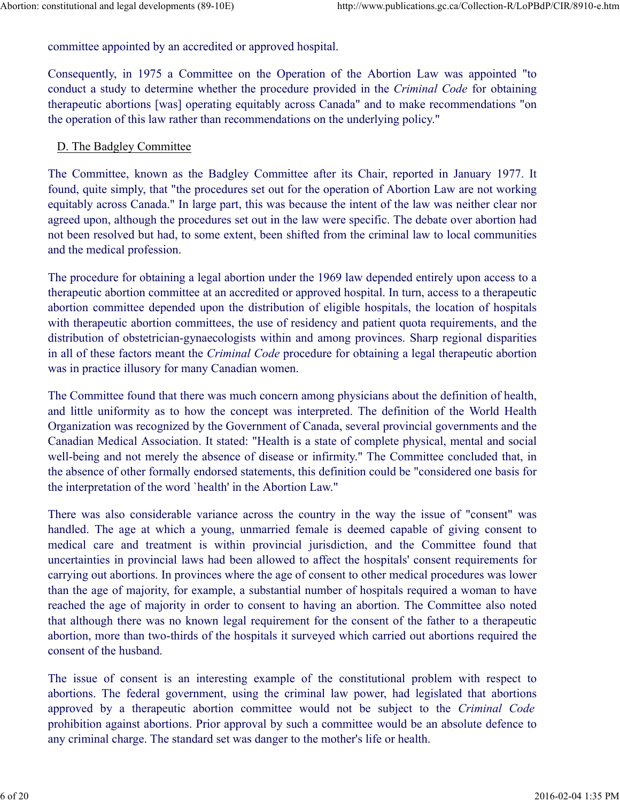committee appointed by an accredited or approved hospital. Abortion: constitutional and legal developments (89-10E) http://www.publications.gc.ca/Collection-R/LoPBdP/CIR/8910-e.htm<br>
committee appointed by an accredited or approved hospital.<br>
Consequently, in 1075, a Committee and

Consequently, in 1975 a Committee on the Operation of the Abortion Law was appointed "to conduct a study to determine whether the procedure provided in the Criminal Code for obtaining therapeutic abortions [was] operating equitably across Canada" and to make recommendations "on the operation of this law rather than recommendations on the underlying policy."

#### D. The Badgley Committee

The Committee, known as the Badgley Committee after its Chair, reported in January 1977. It found, quite simply, that "the procedures set out for the operation of Abortion Law are not working equitably across Canada." In large part, this was because the intent of the law was neither clear nor agreed upon, although the procedures set out in the law were specific. The debate over abortion had not been resolved but had, to some extent, been shifted from the criminal law to local communities and the medical profession.

The procedure for obtaining a legal abortion under the 1969 law depended entirely upon access to a therapeutic abortion committee at an accredited or approved hospital. In turn, access to a therapeutic abortion committee depended upon the distribution of eligible hospitals, the location of hospitals with therapeutic abortion committees, the use of residency and patient quota requirements, and the distribution of obstetrician-gynaecologists within and among provinces. Sharp regional disparities in all of these factors meant the Criminal Code procedure for obtaining a legal therapeutic abortion was in practice illusory for many Canadian women.

The Committee found that there was much concern among physicians about the definition of health, and little uniformity as to how the concept was interpreted. The definition of the World Health Organization was recognized by the Government of Canada, several provincial governments and the Canadian Medical Association. It stated: "Health is a state of complete physical, mental and social well-being and not merely the absence of disease or infirmity." The Committee concluded that, in the absence of other formally endorsed statements, this definition could be "considered one basis for the interpretation of the word `health' in the Abortion Law."

There was also considerable variance across the country in the way the issue of "consent" was handled. The age at which a young, unmarried female is deemed capable of giving consent to therapeutic abortion committee at an accredited or approved hospital. In turn, access to a therapeutic<br>abortion committee depended upon the distribution of eligible hospitals, the location of hospitals<br>with therapeutic abo uncertainties in provincial laws had been allowed to affect the hospitals' consent requirements for carrying out abortions. In provinces where the age of consent to other medical procedures was lower than the age of majority, for example, a substantial number of hospitals required a woman to have reached the age of majority in order to consent to having an abortion. The Committee also noted that although there was no known legal requirement for the consent of the father to a therapeutic abortion, more than two-thirds of the hospitals it surveyed which carried out abortions required the consent of the husband. Organization was recognized by the Government of Canada, several provincial governments and the Canadian Medical Associaton. It states<sup>1</sup>: The this is a state of complete physical, mental and social<br>coal-being and not mere well-being and not merely the absence of disease or infirmity." The Committee concluded that, in the absence of other formally endosed statements, this definition could be "considered one basis for the absence of other for medical care and treatment is within provincial jurisdiction, and the Committee found that<br>uncertainties in provincial laws had been allowed to affect the hospitals' consent requirements for<br>earrying out aboutions. In prov

abortions. The federal government, using the criminal law power, had legislated that abortions prohibition against abortions. Prior approval by such a committee would be an absolute defence to any criminal charge. The standard set was danger to the mother's life or health.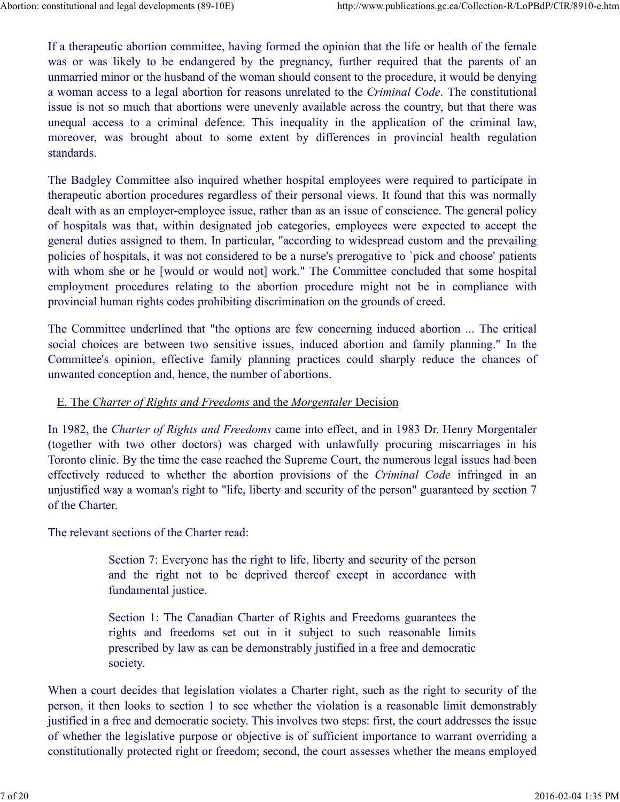If a therapeutic abortion committee, having formed the opinion that the life or health of the female was or was likely to be endangered by the pregnancy, further required that the parents of an unmarried minor or the husband of the woman should consent to the procedure, it would be denying a woman access to a legal abortion for reasons unrelated to the Criminal Code. The constitutional issue is not so much that abortions were unevenly available across the country, but that there was nstitutional and legal developments (89-10E) http://www.publications.gc.ca/Collection-R/LoPBdP/CIR/8910-e.htm<br>If a therapeutic abortion committee, having formed the opinion that the life or health of the female<br>was or was mstitutional and legal developments (89-10E) http://www.publications.gc.ca/Collection-R/LoPBdP/CIR/8910-e.htm<br>
If a therapeutic abortion committee, having formed the opinion that the life or health of the female<br>
was or wa standards. Abortion: constitutional and legal developments (89-10E) http://www.publications.gc.ca/Collection-R/LoPBdP/CIR/8910-e.htm<br>
If a therapeutic abortion committee, having formed the opinion that the life or health of the femal

The Badgley Committee also inquired whether hospital employees were required to participate in therapeutic abortion procedures regardless of their personal views. It found that this was normally dealt with as an employer-employee issue, rather than as an issue of conscience. The general policy of hospitals was that, within designated job categories, employees were expected to accept the general duties assigned to them. In particular, "according to widespread custom and the prevailing policies of hospitals, it was not considered to be a nurse's prerogative to `pick and choose' patients with whom she or he [would or would not] work." The Committee concluded that some hospital If a therapeatic abortion committee, having formed the opinion that the life or health of the female<br>was or was likely to be endangered by the pregnancy, further required that the practns of an<br>unamrited minor or the husba provincial human rights codes prohibiting discrimination on the grounds of creed. issue is not so much that abortions were unevenly available across the country, but that there was unequal access to a criminal defence. This inequality in the application of the criminal law, unequeof access to a criminal The Doagley Countined aaso mappear empeated in opptare imporpers were requence to paractione the present and the therm as an issue of conscience. The general plice of hospitals was incredibly dof local with as an employ-r eta with as a curptoy-t-captor, associated to the must as an set of custostect. In general potentials as show that within designated job categories, employees were expected to except the goental during the spectral during

The Committee underlined that "the options are few concerning induced abortion ... The critical social choices are between two sensitive issues, induced abortion and family planning." In the unwanted conception and, hence, the number of abortions.

# E. The Charter of Rights and Freedoms and the Morgentaler Decision

In 1982, the Charter of Rights and Freedoms came into effect, and in 1983 Dr. Henry Morgentaler Toronto clinic. By the time the case reached the Supreme Court, the numerous legal issues had been unjustified way a woman's right to "life, liberty and security of the person" guaranteed by section 7 of the Charter. the underlined that "the options are few concerning induced abortion ... The critical<br>es are between two sensitive issues, induced abortion and family planning." In the<br>opinion, effective family planning practices could sh meeption and, hence, the number of abortions.<br> *Charter of Rights and Freedoms* and the *Morgentaler* Decision<br> *Charter of Rights and Freedoms* came into effect, and in 1983 Dr. Henry Morgentaler<br>
ith two other doctors) w

The relevant sections of the Charter read:

Section 7: Everyone has the right to life, liberty and security of the person fundamental justice.

Section 1: The Canadian Charter of Rights and Freedoms guarantees the prescribed by law as can be demonstrably justified in a free and democratic society.

When a court decides that legislation violates a Charter right, such as the right to security of the person, it then looks to section 1 to see whether the violation is a reasonable limit demonstrably justified in a free and democratic society. This involves two steps: first, the court addresses the issue of whether the legislative purpose or objective is of sufficient importance to warrant overriding a constitutionally protected right or freedom; second, the court assesses whether the means employed Section 7: Everyone has the right to life, liberty and security of the person<br>said the right not to be deprived thereof except in accordance with<br>findmental justice.<br>Section 1: The Canadian Charter of Rights and Freedoms g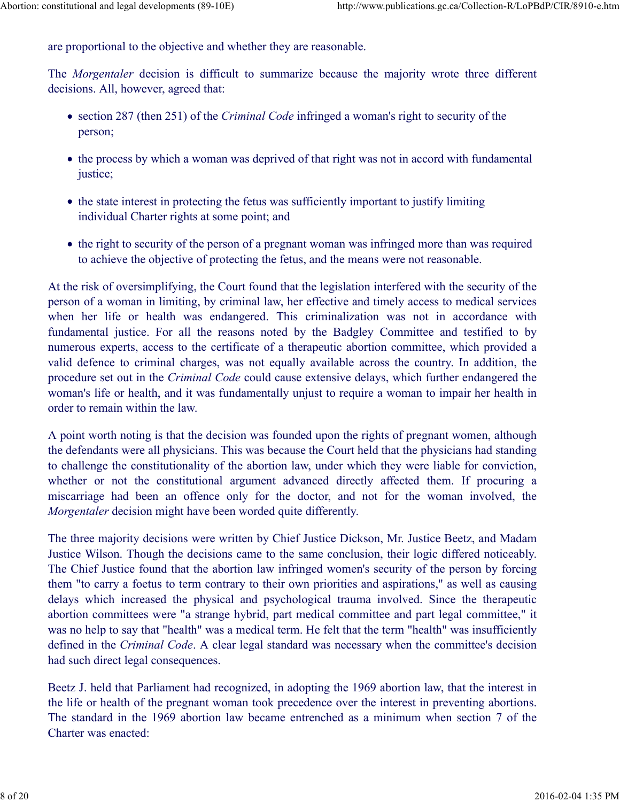are proportional to the objective and whether they are reasonable. Abortion: constitutional and legal developments (89-10E) http://www.publications.gc.ca/Collection-R/LoPBdP/CIR/8910-e.htm<br>are proportional to the objective and whether they are reasonable.<br>The Morgantalen decision is diffi

The *Morgentaler* decision is difficult to summarize because the majority wrote three different decisions. All, however, agreed that:

- section 287 (then 251) of the *Criminal Code* infringed a woman's right to security of the person;
- the process by which a woman was deprived of that right was not in accord with fundamental justice;
- the state interest in protecting the fetus was sufficiently important to justify limiting individual Charter rights at some point; and
- the right to security of the person of a pregnant woman was infringed more than was required to achieve the objective of protecting the fetus, and the means were not reasonable.

At the risk of oversimplifying, the Court found that the legislation interfered with the security of the person of a woman in limiting, by criminal law, her effective and timely access to medical services The *Morgentaler* decision is difficult to summarize because the majority wrote three different<br>decisions. All, however, agreed that:<br>
• section 287 (then 251) of the *Criminal Code* infringed a woman's right to security The *Morgentaler* decision is difficult to summarize because the majority wrote three different<br> **escion** 287 (then 251) of the *Criminal Code* infringed a woman's right to security of the<br>
person;<br>
• the process by which numerous experts, access to the certificate of a therapeutic abortion committee, which provided a valid defence to criminal charges, was not equally available across the country. In addition, the procedure set out in the Criminal Code could cause extensive delays, which further endangered the woman's life or health, and it was fundamentally unjust to require a woman to impair her health in order to remain within the law. **Example 19 the rights of some point, and** the person of a pregnant woman was infringed more than was required to achieve the bijective of protecting the fetsts, and the means were not reasonable. At the risk of oversim • the right to security of the person of a pregnant woman was infringed more than was required<br>to achieve the objective of protecting the fetus, and the means were not reasonable.<br>At the risk of oversimplifying, the Court

A point worth noting is that the decision was founded upon the rights of pregnant women, although the defendants were all physicians. This was because the Court held that the physicians had standing to challenge the constitutionality of the abortion law, under which they were liable for conviction, Morgentaler decision might have been worded quite differently.

The three majority decisions were written by Chief Justice Dickson, Mr. Justice Beetz, and Madam Justice Wilson. Though the decisions came to the same conclusion, their logic differed noticeably. The Chief Justice found that the abortion law infringed women's security of the person by forcing them "to carry a foetus to term contrary to their own priorities and aspirations," as well as causing numerous experts, access to the certificate of a therapeutic abortion committee, which provided a valiable defence to criminal charges, was not equally available across the country. In addition, the procedure set out in th abortion committees were "a strange hybrid, part medical committee and part legal committee," it was no help to say that "health" was a medical term. He felt that the term "health" was insufficiently defined in the Criminal Code. A clear legal standard was necessary when the committee's decision had such direct legal consequences. The three majority decisions were written by Chief Justice Dickson, Mr. Justice Beetz, and Madam Justice Wilson. Though the decisions came to the same conclusion, their logic differed noticeably.<br>The Chief Justice found th

Beetz J. held that Parliament had recognized, in adopting the 1969 abortion law, that the interest in the life or health of the pregnant woman took precedence over the interest in preventing abortions. The standard in the 1969 abortion law became entrenched as a minimum when section 7 of the Charter was enacted: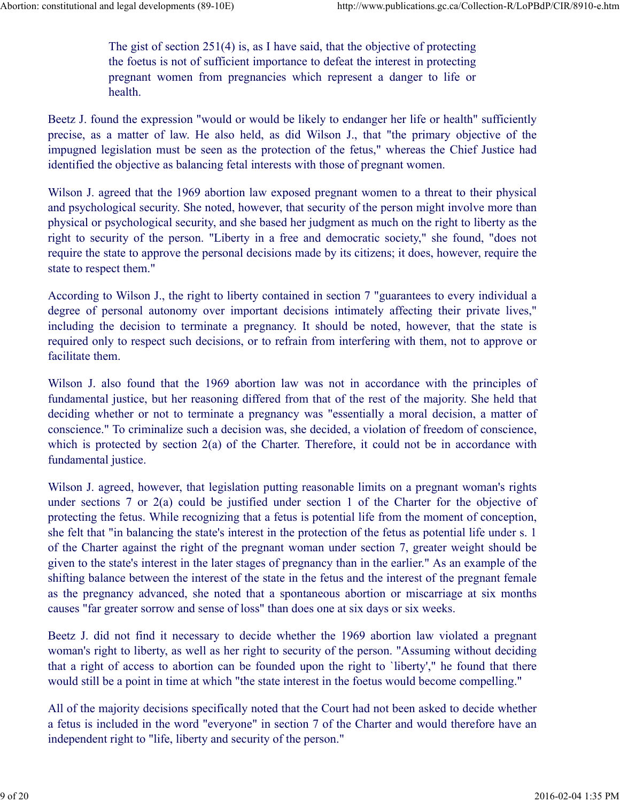The gist of section 251(4) is, as I have said, that the objective of protecting the foetus is not of sufficient importance to defeat the interest in protecting d legal developments (89-10E) http://www.publications.gc.ca/Collection-R/LoPBdP/CIR/8910-e.htm<br>The gist of section 251(4) is, as I have said, that the objective of protecting<br>the foetus is not of sufficient importance to d health. Abortion: constitutional and legal developments (89-10E) http://www.publications.gc.ca/Collection-R/LoPBdP/CIR/8910-e.htm<br>The gist of section 251(4) is, as I have said, that the objective of protecting<br>the foetus is not of

Beetz J. found the expression "would or would be likely to endanger her life or health" sufficiently precise, as a matter of law. He also held, as did Wilson J., that "the primary objective of the impugned legislation must be seen as the protection of the fetus," whereas the Chief Justice had identified the objective as balancing fetal interests with those of pregnant women.

Wilson J. agreed that the 1969 abortion law exposed pregnant women to a threat to their physical and psychological security. She noted, however, that security of the person might involve more than physical or psychological security, and she based her judgment as much on the right to liberty as the right to security of the person. "Liberty in a free and democratic society," she found, "does not require the state to approve the personal decisions made by its citizens; it does, however, require the state to respect them."

According to Wilson J., the right to liberty contained in section 7 "guarantees to every individual a degree of personal autonomy over important decisions intimately affecting their private lives," including the decision to terminate a pregnancy. It should be noted, however, that the state is required only to respect such decisions, or to refrain from interfering with them, not to approve or facilitate them.

Wilson J. also found that the 1969 abortion law was not in accordance with the principles of fundamental justice, but her reasoning differed from that of the rest of the majority. She held that deciding whether or not to terminate a pregnancy was "essentially a moral decision, a matter of conscience." To criminalize such a decision was, she decided, a violation of freedom of conscience, which is protected by section 2(a) of the Charter. Therefore, it could not be in accordance with fundamental justice.

Wilson J. agreed, however, that legislation putting reasonable limits on a pregnant woman's rights under sections 7 or 2(a) could be justified under section 1 of the Charter for the objective of protecting the fetus. While recognizing that a fetus is potential life from the moment of conception, she felt that "in balancing the state's interest in the protection of the fetus as potential life under s. 1 of the Charter against the right of the pregnant woman under section 7, greater weight should be given to the state's interest in the later stages of pregnancy than in the earlier." As an example of the shifting balance between the interest of the state in the fetus and the interest of the pregnant female as the pregnancy advanced, she noted that a spontaneous abortion or miscarriage at six months causes "far greater sorrow and sense of loss" than does one at six days or six weeks. she for that "motallouig to sakes huerest in the protocolon of the Charter against the right of the pregnant woman under section 7, greater weight should be given to the state's interest in the later stages of pregnancy th

Beetz J. did not find it necessary to decide whether the 1969 abortion law violated a pregnant woman's right to liberty, as well as her right to security of the person. "Assuming without deciding that a right of access to abortion can be founded upon the right to `liberty'," he found that there would still be a point in time at which "the state interest in the foetus would become compelling."

All of the majority decisions specifically noted that the Court had not been asked to decide whether a fetus is included in the word "everyone" in section 7 of the Charter and would therefore have an independent right to "life, liberty and security of the person."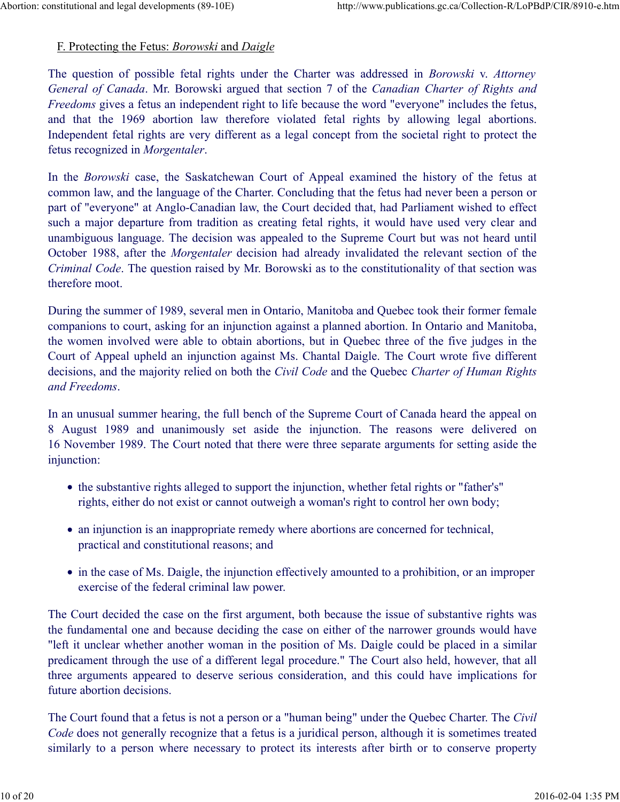### F. Protecting the Fetus: Borowski and Daigle

The question of possible fetal rights under the Charter was addressed in *Borowski v. Attorney* General of Canada. Mr. Borowski argued that section 7 of the Canadian Charter of Rights and Freedoms gives a fetus an independent right to life because the word "everyone" includes the fetus, and that the 1969 abortion law therefore violated fetal rights by allowing the fetus and Daigle The question of possible fetal rights under the Charter was addressed in *Borowski* v. Attorney General of Canada. Mr. Borowsk Independent fetal rights are very different as a legal concept from the societal right to protect the fetus recognized in Morgentaler. Abortion: constitutional and legal developments (89-10E) http://www.publications.gc.ca/Collection-R/LoPBdP/CIR/8910-e.htm<br>
F. Protecting the Fetus: *Borowski* and *Daigle*<br>
The question of people fatel rights under the Cha

In the Borowski case, the Saskatchewan Court of Appeal examined the history of the fetus at common law, and the language of the Charter. Concluding that the fetus had never been a person or part of "everyone" at Anglo-Canadian law, the Court decided that, had Parliament wished to effect such a major departure from tradition as creating fetal rights, it would have used very clear and unambiguous language. The decision was appealed to the Supreme Court but was not heard until October 1988, after the Morgentaler decision had already invalidated the relevant section of the Criminal Code. The question raised by Mr. Borowski as to the constitutionality of that section was therefore moot. In the *Borowski* case, the Saskatchewan Court of Appeal examined the history of the fetus at common law, and the language of the Charter. Concluding that the fetus had never been a person or part of "everyone" at Anglo-C

During the summer of 1989, several men in Ontario, Manitoba and Quebec took their former female companions to court, asking for an injunction against a planned abortion. In Ontario and Manitoba, the women involved were able to obtain abortions, but in Quebec three of the five judges in the Court of Appeal upheld an injunction against Ms. Chantal Daigle. The Court wrote five different decisions, and the majority relied on both the *Civil Code* and the Quebec *Charter of Human Rights* and Freedoms.

In an unusual summer hearing, the full bench of the Supreme Court of Canada heard the appeal on 16 November 1989. The Court noted that there were three separate arguments for setting aside the injunction:

- the substantive rights alleged to support the injunction, whether fetal rights or "father's" rights, either do not exist or cannot outweigh a woman's right to control her own body;
- an injunction is an inappropriate remedy where abortions are concerned for technical, practical and constitutional reasons; and
- in the case of Ms. Daigle, the injunction effectively amounted to a prohibition, or an improper exercise of the federal criminal law power.

The Court decided the case on the first argument, both because the issue of substantive rights was the fundamental one and because deciding the case on either of the narrower grounds would have "left it unclear whether another woman in the position of Ms. Daigle could be placed in a similar predicament through the use of a different legal procedure." The Court also held, however, that all three arguments appeared to deserve serious consideration, and this could have implications for future abortion decisions. in the case of Ms. Daigle, the injunctional reasons; and<br>
in the case of Ms. Daigle, the injunction effectively amounted to a prohibition, or an improper<br>
exercise of the federal criminal law power.<br>
The Court decided the

The Court found that a fetus is not a person or a "human being" under the Quebec Charter. The Civil Code does not generally recognize that a fetus is a juridical person, although it is sometimes treated similarly to a person where necessary to protect its interests after birth or to conserve property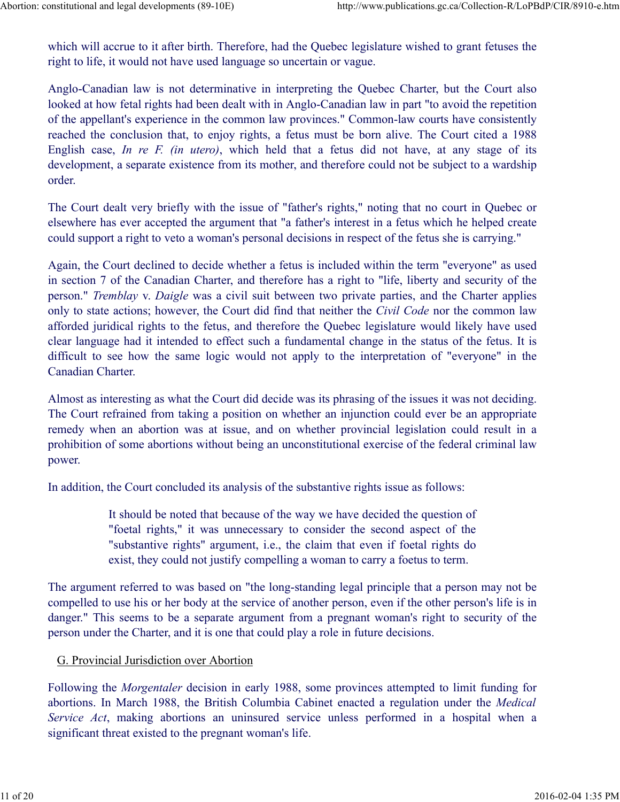which will accrue to it after birth. Therefore, had the Quebec legislature wished to grant fetuses the right to life, it would not have used language so uncertain or vague. Abortion: constitutional and legal developments (89-10E) http://www.publications.gc.ca/Collection-R/LoPBdP/CIR/8910-e.htm<br>which will accrue to it after birth. Therefore, had the Quebec legislature wished to grant fetuses t

Anglo-Canadian law is not determinative in interpreting the Quebec Charter, but the Court also looked at how fetal rights had been dealt with in Anglo-Canadian law in part "to avoid the repetition of the appellant's experience in the common law provinces." Common-law courts have consistently reached the conclusion that, to enjoy rights, a fetus must be born alive. The Court cited a 1988 Institutional and legal developments (89-10E) http://www.publications.gc.ca/Collection-R/LoPBdP/CIR/8910-e.htm<br>which will accrue to it after birth. Therefore, had the Quebec legislature wished to grant fetuses the<br>right to development, a separate existence from its mother, and therefore could not be subject to a wardship order.

The Court dealt very briefly with the issue of "father's rights," noting that no court in Quebec or elsewhere has ever accepted the argument that "a father's interest in a fetus which he helped create could support a right to veto a woman's personal decisions in respect of the fetus she is carrying."

Again, the Court declined to decide whether a fetus is included within the term "everyone" as used in section 7 of the Canadian Charter, and therefore has a right to "life, liberty and security of the person." Tremblay v. Daigle was a civil suit between two private parties, and the Charter applies only to state actions; however, the Court did find that neither the Civil Code nor the common law afforded juridical rights to the fetus, and therefore the Quebec legislature would likely have used clear language had it intended to effect such a fundamental change in the status of the fetus. It is difficult to see how the same logic would not apply to the interpretation of "everyone" in the Canadian Charter.

Almost as interesting as what the Court did decide was its phrasing of the issues it was not deciding. The Court refrained from taking a position on whether an injunction could ever be an appropriate remedy when an abortion was at issue, and on whether provincial legislation could result in a prohibition of some abortions without being an unconstitutional exercise of the federal criminal law power.

In addition, the Court concluded its analysis of the substantive rights issue as follows:

It should be noted that because of the way we have decided the question of "foetal rights," it was unnecessary to consider the second aspect of the "substantive rights" argument, i.e., the claim that even if foetal rights do exist, they could not justify compelling a woman to carry a foetus to term.

The argument referred to was based on "the long-standing legal principle that a person may not be compelled to use his or her body at the service of another person, even if the other person's life is in danger." This seems to be a separate argument from a pregnant woman's right to security of the person under the Charter, and it is one that could play a role in future decisions.

#### G. Provincial Jurisdiction over Abortion

Following the Morgentaler decision in early 1988, some provinces attempted to limit funding for abortions. In March 1988, the British Columbia Cabinet enacted a regulation under the Medical In addition, the Court concluded its analysis of the substantive rights issue as follows:<br>
It should be noted that because of the way we have decided the question of<br>
"cotel rights," it was unnecessary to consider the sec significant threat existed to the pregnant woman's life. <sup>1</sup> substantive rights" argument, i.e., the claim that even if foctal rights do<br>
coxist, they could not justify compelling a woman to carry a foctus to term.<br>
The argument referred to was based on "the long-standing legal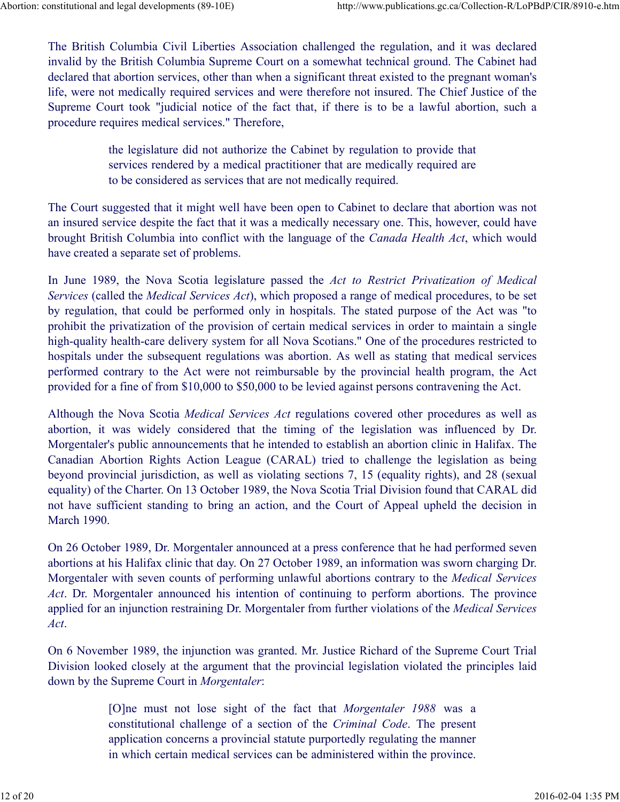The British Columbia Civil Liberties Association challenged the regulation, and it was declared invalid by the British Columbia Supreme Court on a somewhat technical ground. The Cabinet had declared that abortion services, other than when a significant threat existed to the pregnant woman's life, were not medically required services and were therefore not insured. The Chief Justice of the Supreme Court took "judicial notice of the fact that, if there is to be a lawful abortion, such a procedure requires medical services." Therefore, The British Columbia Civil Liberties Association challenged the regulation, and it was declared<br>invalid by the British Columbia Supreme Court on a somewhat technical ground. The Cabinet had<br>declared that abortion services Abortion: constitutional and legal developments (89-10E) http://www.publications.gc.ca/Collection-R/LoPBdP/CIR/8910-e.htm<br>The British Columbia Civil Liberties Association challenged the regulation, and it was declared<br>inva

the legislature did not authorize the Cabinet by regulation to provide that services rendered by a medical practitioner that are medically required are to be considered as services that are not medically required.

The Court suggested that it might well have been open to Cabinet to declare that abortion was not an insured service despite the fact that it was a medically necessary one. This, however, could have brought British Columbia into conflict with the language of the Canada Health Act, which would have created a separate set of problems.

Services (called the *Medical Services Act*), which proposed a range of medical procedures, to be set by regulation, that could be performed only in hospitals. The stated purpose of the Act was "to prohibit the privatization of the provision of certain medical services in order to maintain a single high-quality health-care delivery system for all Nova Scotians." One of the procedures restricted to hospitals under the subsequent regulations was abortion. As well as stating that medical services performed contrary to the Act were not reimbursable by the provincial health program, the Act provided for a fine of from \$10,000 to \$50,000 to be levied against persons contravening the Act. structure of the considered on a more parameterization (and and an expected by a more to be considered as services that are not medically required.<br>The Court suggested that it might well have been open to Cabinet to declar

Although the Nova Scotia Medical Services Act regulations covered other procedures as well as Morgentaler's public announcements that he intended to establish an abortion clinic in Halifax. The Canadian Abortion Rights Action League (CARAL) tried to challenge the legislation as being beyond provincial jurisdiction, as well as violating sections 7, 15 (equality rights), and 28 (sexual equality) of the Charter. On 13 October 1989, the Nova Scotia Trial Division found that CARAL did not have sufficient standing to bring an action, and the Court of Appeal upheld the decision in March 1990.

On 26 October 1989, Dr. Morgentaler announced at a press conference that he had performed seven abortions at his Halifax clinic that day. On 27 October 1989, an information was sworn charging Dr. Morgentaler with seven counts of performing unlawful abortions contrary to the Medical Services Act. Dr. Morgentaler announced his intention of continuing to perform abortions. The province applied for an injunction restraining Dr. Morgentaler from further violations of the Medical Services Act. spation announcements and ne mentator obsedusar and actorium en namina. The bordinal constrained by consistent and in prediction, as well as violating sections 7, 15 (equality rights), and 28 (sexual the Charter. On 13 Oct On 26 October 1989, Dr. Morgentaler announced at a press conference that he had performed seven<br>abortions at his Halifax clinic that day. On 27 October 1989, an information was sworn charging Dr.<br>Morgentaler with seven co

On 6 November 1989, the injunction was granted. Mr. Justice Richard of the Supreme Court Trial Division looked closely at the argument that the provincial legislation violated the principles laid down by the Supreme Court in Morgentaler:

> constitutional challenge of a section of the Criminal Code. The present application concerns a provincial statute purportedly regulating the manner in which certain medical services can be administered within the province.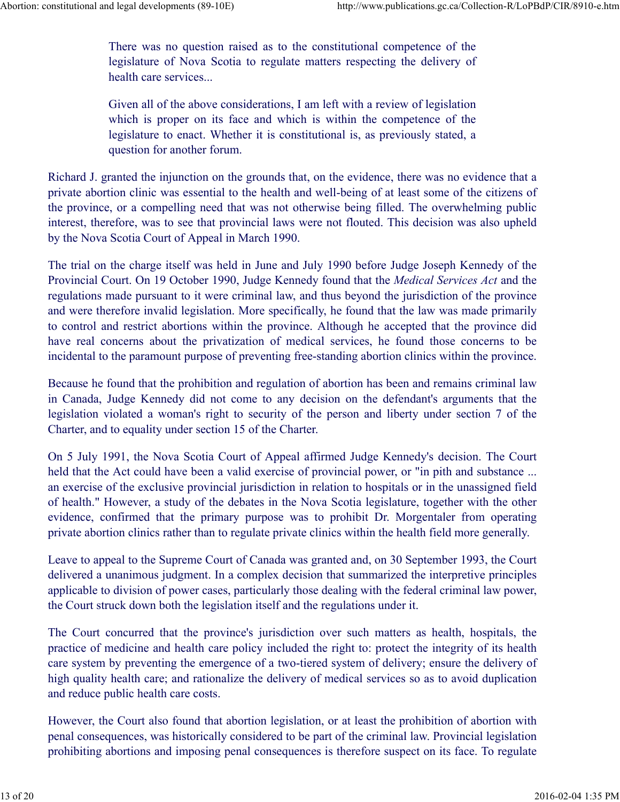There was no question raised as to the constitutional competence of the legislature of Nova Scotia to regulate matters respecting the delivery of health care services... Abortion: constitutional and legal developments (89-10E) http://www.publications.gc.ca/Collection-R/LoPBdP/CIR/8910-e.htm<br>There was no question raised as to the constitutional competence of the<br>legislature of Nova Scotia t

> Given all of the above considerations, I am left with a review of legislation which is proper on its face and which is within the competence of the legislature to enact. Whether it is constitutional is, as previously stated, a question for another forum.

Richard J. granted the injunction on the grounds that, on the evidence, there was no evidence that a private abortion clinic was essential to the health and well-being of at least some of the citizens of the province, or a compelling need that was not otherwise being filled. The overwhelming public interest, therefore, was to see that provincial laws were not flouted. This decision was also upheld by the Nova Scotia Court of Appeal in March 1990.

The trial on the charge itself was held in June and July 1990 before Judge Joseph Kennedy of the Provincial Court. On 19 October 1990, Judge Kennedy found that the Medical Services Act and the regulations made pursuant to it were criminal law, and thus beyond the jurisdiction of the province and were therefore invalid legislation. More specifically, he found that the law was made primarily to control and restrict abortions within the province. Although he accepted that the province did have real concerns about the privatization of medical services, he found those concerns to be incidental to the paramount purpose of preventing free-standing abortion clinics within the province. The trial on the charge itself was held in June and July 1990 before Judge Joseph Kennedy of the Provincial Court. On 19 October 1990, Judge Kennedy fond that the *Medical Services Act* and the previncial Court on 19 Octob

Because he found that the prohibition and regulation of abortion has been and remains criminal law in Canada, Judge Kennedy did not come to any decision on the defendant's arguments that the legislation violated a woman's right to security of the person and liberty under section 7 of the Charter, and to equality under section 15 of the Charter.

On 5 July 1991, the Nova Scotia Court of Appeal affirmed Judge Kennedy's decision. The Court held that the Act could have been a valid exercise of provincial power, or "in pith and substance ... an exercise of the exclusive provincial jurisdiction in relation to hospitals or in the unassigned field of health." However, a study of the debates in the Nova Scotia legislature, together with the other private abortion clinics rather than to regulate private clinics within the health field more generally.

Leave to appeal to the Supreme Court of Canada was granted and, on 30 September 1993, the Court delivered a unanimous judgment. In a complex decision that summarized the interpretive principles applicable to division of power cases, particularly those dealing with the federal criminal law power, the Court struck down both the legislation itself and the regulations under it.

The Court concurred that the province's jurisdiction over such matters as health, hospitals, the practice of medicine and health care policy included the right to: protect the integrity of its health care system by preventing the emergence of a two-tiered system of delivery; ensure the delivery of high quality health care; and rationalize the delivery of medical services so as to avoid duplication and reduce public health care costs. private abortoin cinnes tanter than to regulate private cinnes whilm the neathr rieta indet generally.<br>
Leave to appeal to the Supreme Court of Canada was granted and, on 30 September 1993, the Court<br>
delivered a unamionos

However, the Court also found that abortion legislation, or at least the prohibition of abortion with penal consequences, was historically considered to be part of the criminal law. Provincial legislation prohibiting abortions and imposing penal consequences is therefore suspect on its face. To regulate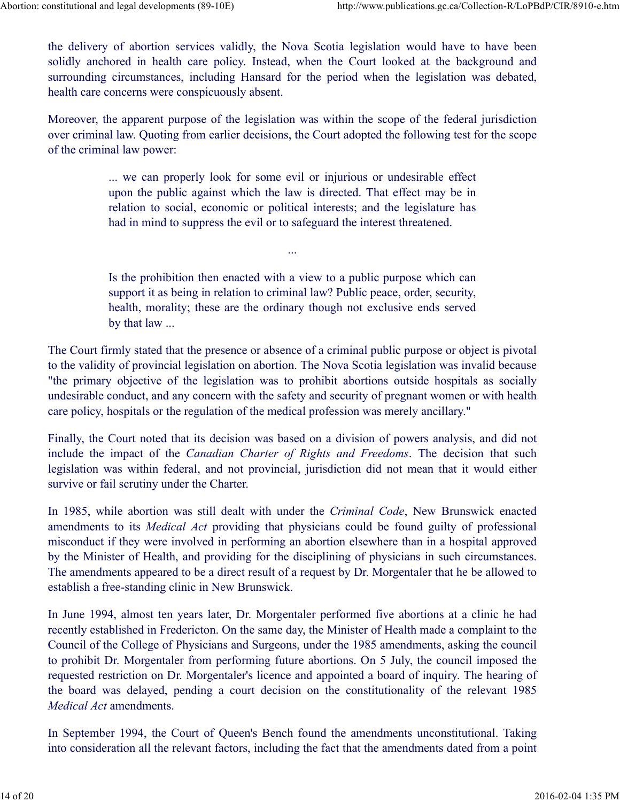the delivery of abortion services validly, the Nova Scotia legislation would have to have been solidly anchored in health care policy. Instead, when the Court looked at the background and surrounding circumstances, including Hansard for the period when the legislation was debated, health care concerns were conspicuously absent. Abortion: constitutional and legal developments (89-10E) http://www.publications.gc.ca/Collection-R/LoPBdP/CIR/8910-e.htm<br>
the delivery of abortion services validly, the Nova Scotia legislation would have to have been<br>
sol

Moreover, the apparent purpose of the legislation was within the scope of the federal jurisdiction over criminal law. Quoting from earlier decisions, the Court adopted the following test for the scope of the criminal law power:

> ... we can properly look for some evil or injurious or undesirable effect upon the public against which the law is directed. That effect may be in relation to social, economic or political interests; and the legislature has had in mind to suppress the evil or to safeguard the interest threatened.

> Is the prohibition then enacted with a view to a public purpose which can support it as being in relation to criminal law? Public peace, order, security, health, morality; these are the ordinary though not exclusive ends served by that law ...

...

The Court firmly stated that the presence or absence of a criminal public purpose or object is pivotal to the validity of provincial legislation on abortion. The Nova Scotia legislation was invalid because "the primary objective of the legislation was to prohibit abortions outside hospitals as socially undesirable conduct, and any concern with the safety and security of pregnant women or with health care policy, hospitals or the regulation of the medical profession was merely ancillary." include the inclusion and the inclusion of the increase the element of the legislature has had in mind to suppress the evil or to safeguard the interest threatened.<br>
In the prohibition then enated with a view to a public

Finally, the Court noted that its decision was based on a division of powers analysis, and did not legislation was within federal, and not provincial, jurisdiction did not mean that it would either survive or fail scrutiny under the Charter.

In 1985, while abortion was still dealt with under the *Criminal Code*, New Brunswick enacted amendments to its Medical Act providing that physicians could be found guilty of professional misconduct if they were involved in performing an abortion elsewhere than in a hospital approved by the Minister of Health, and providing for the disciplining of physicians in such circumstances. The amendments appeared to be a direct result of a request by Dr. Morgentaler that he be allowed to establish a free-standing clinic in New Brunswick.

In June 1994, almost ten years later, Dr. Morgentaler performed five abortions at a clinic he had recently established in Fredericton. On the same day, the Minister of Health made a complaint to the Council of the College of Physicians and Surgeons, under the 1985 amendments, asking the council to prohibit Dr. Morgentaler from performing future abortions. On 5 July, the council imposed the requested restriction on Dr. Morgentaler's licence and appointed a board of inquiry. The hearing of Finally, the Court noted that its decision was based on a division of powers analysis, and did not include the impact of the *Canadian Charter of Rights and Freedoms*. The decision that such inelayed legislation was withi Medical Act amendments. misconduct if they were involved in performing an abortion elsewhere than in a hospital approved<br>by the Minister of Health, and providing for the disciplining of physicians in such circumstances.<br>The amendments appeared t

In September 1994, the Court of Queen's Bench found the amendments unconstitutional. Taking into consideration all the relevant factors, including the fact that the amendments dated from a point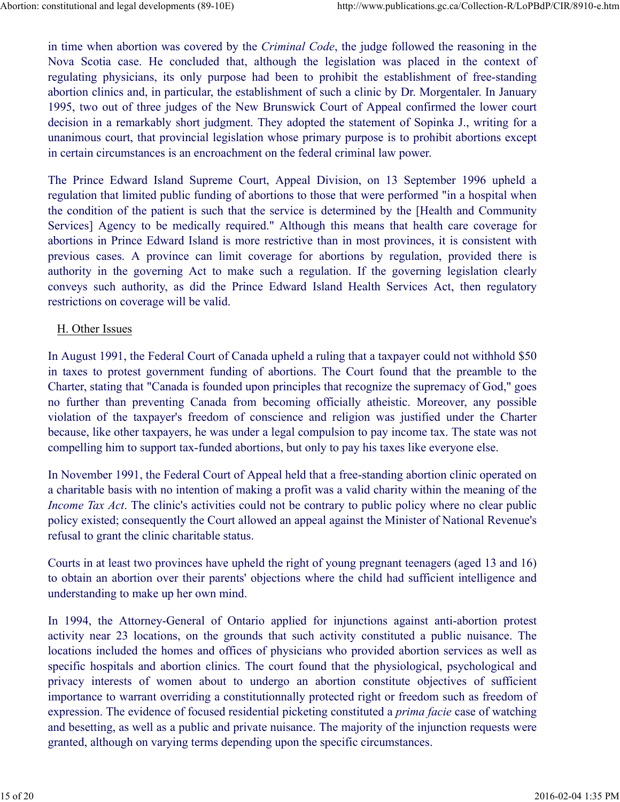in time when abortion was covered by the Criminal Code, the judge followed the reasoning in the notitutional and legal developments (89-10E) http://www.publications.gc.ca/Collection-R/LoPBdP/CIR/8910-e.htm<br>in time when abortion was covered by the *Criminal Code*, the judge followed the reasoning in the<br>Nova Scotia ca regulating physicians, its only purpose had been to prohibit the establishment of free-standing abortion clinics and, in particular, the establishment of such a clinic by Dr. Morgentaler. In January 1995, two out of three judges of the New Brunswick Court of Appeal confirmed the lower court decision in a remarkably short judgment. They adopted the statement of Sopinka J., writing for a unanimous court, that provincial legislation whose primary purpose is to prohibit abortions except in certain circumstances is an encroachment on the federal criminal law power. Institutional and legal developments (89-10E) http://www.publications.gc.ca/Collection-R/LoPBdP/CIR/8910-e.htm<br>
in time when abortion was covered by the *Criminal Code*, the judge followed the reasoning in the<br>
Nova Scotia Abortion: constitutional and legal developments (89-10E) http://www.publications.gc.ca/Collection-R/LoPBdP/CIR/8910-e.htm<br>in time when abortion was covered by the *Criminal Code*, the judge followed the reasoning in the<br>No

regulation that limited public funding of abortions to those that were performed "in a hospital when the condition of the patient is such that the service is determined by the [Health and Community Services] Agency to be medically required." Although this means that health care coverage for abortions in Prince Edward Island is more restrictive than in most provinces, it is consistent with nstitutional and legal developments (89-10E) http://www.publications.ge.ca/Collection-R/LoPbdP/CIR/8910-e.htm<br>in time when abortion was covered by the *Criminal Code*, the judge followed the reasoning in the<br>Nova Scotia ca authority in the governing Act to make such a regulation. If the governing legislation clearly in time when abortion was covered by the *Criminal Code*, the judge followed the reasoning in the Nova Scotia case. He concluded that, although the legislation was placed in the context of regulating physicians, its only p restrictions on coverage will be valid. mannous out, una provincial registration whose yntimaly phapos is to promot aconous except<br>in certain circumstances is an encroashment on the fiederal criminal law power.<br>The Prince Edward Island Supreme Court, Appeal Divi

#### H. Other Issues

In August 1991, the Federal Court of Canada upheld a ruling that a taxpayer could not withhold \$50 in taxes to protest government funding of abortions. The Court found that the preamble to the Charter, stating that "Canada is founded upon principles that recognize the supremacy of God," goes violation of the taxpayer's freedom of conscience and religion was justified under the Charter because, like other taxpayers, he was under a legal compulsion to pay income tax. The state was not compelling him to support tax-funded abortions, but only to pay his taxes like everyone else. In Aregust 1274, the Tectuar Court of Counter out and may be the court for the present of the presenter, stating that the presenter stating that the presenter stating that "Canada is founded upon prime) fies that "Canada i

In November 1991, the Federal Court of Appeal held that a free-standing abortion clinic operated on a charitable basis with no intention of making a profit was a valid charity within the meaning of the Income Tax Act. The clinic's activities could not be contrary to public policy where no clear public policy existed; consequently the Court allowed an appeal against the Minister of National Revenue's refusal to grant the clinic charitable status.

Courts in at least two provinces have upheld the right of young pregnant teenagers (aged 13 and 16) to obtain an abortion over their parents' objections where the child had sufficient intelligence and understanding to make up her own mind.

activity near 23 locations, on the grounds that such activity constituted a public nuisance. The locations included the homes and offices of physicians who provided abortion services as well as specific hospitals and abortion clinics. The court found that the physiological, psychological and Foundation of a capacytes are constituted the homes are visited with the capacity and the capacity and the capacity and the constrained abortion is placed as the external of one objectively to the November 1991, the Feder importance to warrant overriding a constitutionnally protected right or freedom such as freedom of expression. The evidence of focused residential picketing constituted a *prima facie* case of watching and besetting, as well as a public and private nuisance. The majority of the injunction requests were granted, although on varying terms depending upon the specific circumstances. retusal to grant the clinic charitable status.<br>
Courts in at least two provinces have upheld the right of young pregnant teenagers (aged 13 and 16)<br>
to obtain an abortion over their parents' objections where the child had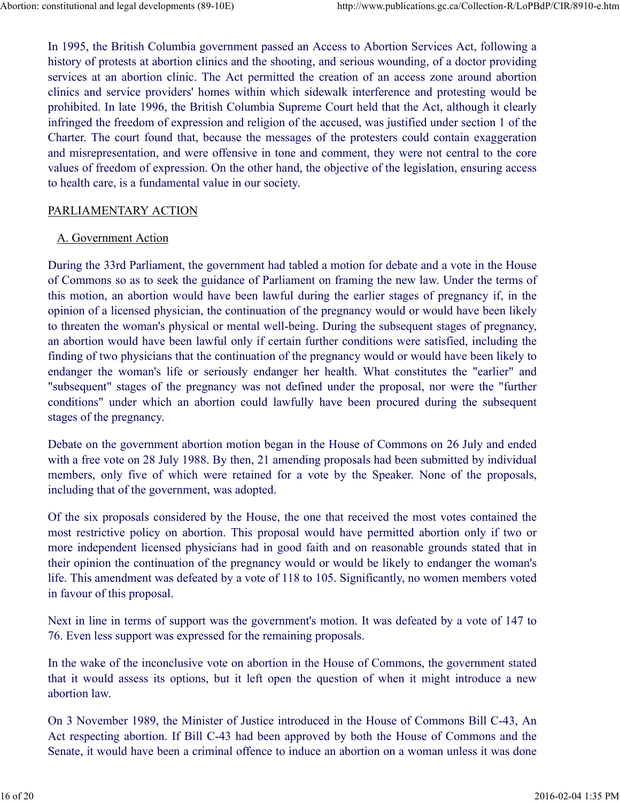In 1995, the British Columbia government passed an Access to Abortion Services Act, following a history of protests at abortion clinics and the shooting, and serious wounding, of a doctor providing services at an abortion clinic. The Act permitted the creation of an access zone around abortion clinics and service providers' homes within which sidewalk interference and protesting would be prohibited. In late 1996, the British Columbia Supreme Court held that the Act, although it clearly infringed the freedom of expression and religion of the accused, was justified under section 1 of the Charter. The court found that, because the messages of the protesters could contain exaggeration and misrepresentation, and were offensive in tone and comment, they were not central to the core values of freedom of expression. On the other hand, the objective of the legislation, ensuring access to health care, is a fundamental value in our society. Abortion: constitutional and legal developments (89-10E) http://www.publications.gc.ca/Collection-R/LoPBdP/CIR/8910-e.htm<br>
In 1995, the British Columbia government passed an Access to Abortion Services Act, following a<br>
hi

# PARLIAMENTARY ACTION

# A. Government Action

During the 33rd Parliament, the government had tabled a motion for debate and a vote in the House of Commons so as to seek the guidance of Parliament on framing the new law. Under the terms of this motion, an abortion would have been lawful during the earlier stages of pregnancy if, in the opinion of a licensed physician, the continuation of the pregnancy would or would have been likely to threaten the woman's physical or mental well-being. During the subsequent stages of pregnancy, an abortion would have been lawful only if certain further conditions were satisfied, including the finding of two physicians that the continuation of the pregnancy would or would have been likely to endanger the woman's life or seriously endanger her health. What constitutes the "earlier" and "subsequent" stages of the pregnancy was not defined under the proposal, nor were the "further conditions" under which an abortion could lawfully have been procured during the subsequent stages of the pregnancy.

Debate on the government abortion motion began in the House of Commons on 26 July and ended with a free vote on 28 July 1988. By then, 21 amending proposals had been submitted by individual members, only five of which were retained for a vote by the Speaker. None of the proposals, including that of the government, was adopted.

Of the six proposals considered by the House, the one that received the most votes contained the most restrictive policy on abortion. This proposal would have permitted abortion only if two or more independent licensed physicians had in good faith and on reasonable grounds stated that in their opinion the continuation of the pregnancy would or would be likely to endanger the woman's life. This amendment was defeated by a vote of 118 to 105. Significantly, no women members voted in favour of this proposal. most essention per anouncir. Inspirosal would have beentimed aboution only it woo one independent licensed physicians had in good faith and on reasonable grounds stated that in their opinion the continuation of the pregnan

Next in line in terms of support was the government's motion. It was defeated by a vote of 147 to 76. Even less support was expressed for the remaining proposals.

In the wake of the inconclusive vote on abortion in the House of Commons, the government stated that it would assess its options, but it left open the question of when it might introduce a new abortion law.

On 3 November 1989, the Minister of Justice introduced in the House of Commons Bill C-43, An Act respecting abortion. If Bill C-43 had been approved by both the House of Commons and the Senate, it would have been a criminal offence to induce an abortion on a woman unless it was done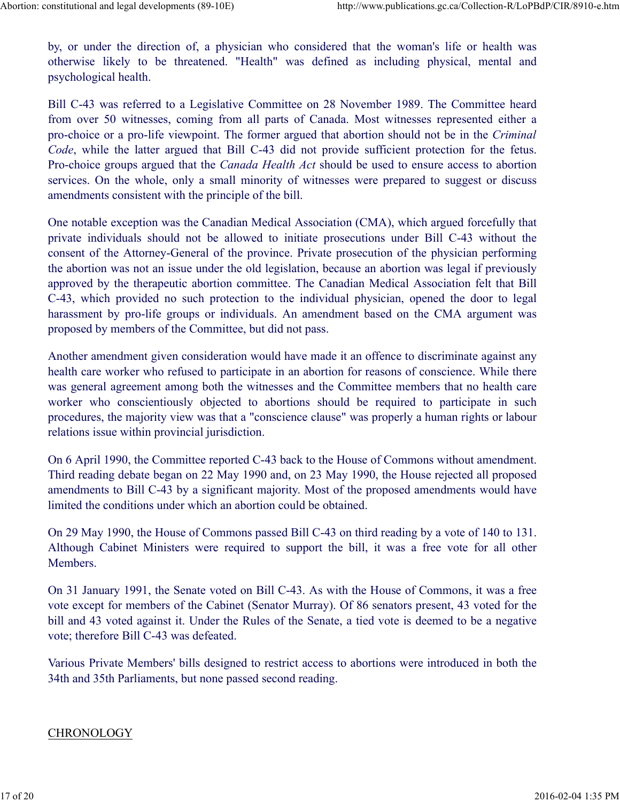by, or under the direction of, a physician who considered that the woman's life or health was on the direction of the system of the system who considered that the woman's life or health was otherwise likely to be threatened. "Health" was defined as including physical, mental and psychological health.<br>Bill C-43 was psychological health. Abortion: constitutional and legal developments (89-10E) http://www.publications.gc.ca/Collection-R/LoPBdP/CIR/8910-e.htm<br>by, or under the direction of, a physician who considered that the woman's life or health was<br>otherw

Bill C-43 was referred to a Legislative Committee on 28 November 1989. The Committee heard from over 50 witnesses, coming from all parts of Canada. Most witnesses represented either a pro-choice or a pro-life viewpoint. The former argued that abortion should not be in the Criminal Code, while the latter argued that Bill C-43 did not provide sufficient protection for the fetus. Pro-choice groups argued that the *Canada Health Act* should be used to ensure access to abortion services. On the whole, only a small minority of witnesses were prepared to suggest or discuss amendments consistent with the principle of the bill. by, or under the direction of, a physician who considered that the woman's life or health was otherwise likely to be threatened. "Health" was defined as including physical, mental and psychological health.<br>Bill C-43 was re

One notable exception was the Canadian Medical Association (CMA), which argued forcefully that consent of the Attorney-General of the province. Private prosecution of the physician performing the abortion was not an issue under the old legislation, because an abortion was legal if previously approved by the therapeutic abortion committee. The Canadian Medical Association felt that Bill C-43, which provided no such protection to the individual physician, opened the door to legal harassment by pro-life groups or individuals. An amendment based on the CMA argument was proposed by members of the Committee, but did not pass. Code, while the latter argued that Bill C-43 did not provide sufficient protection for the fetus.<br>Pro-choice groups argued that the Canada Health Act should be used to ensure access to abortion<br>services. On the whole, onl

Another amendment given consideration would have made it an offence to discriminate against any health care worker who refused to participate in an abortion for reasons of conscience. While there was general agreement among both the witnesses and the Committee members that no health care procedures, the majority view was that a "conscience clause" was properly a human rights or labour relations issue within provincial jurisdiction.

On 6 April 1990, the Committee reported C-43 back to the House of Commons without amendment. Third reading debate began on 22 May 1990 and, on 23 May 1990, the House rejected all proposed amendments to Bill C-43 by a significant majority. Most of the proposed amendments would have limited the conditions under which an abortion could be obtained.

On 29 May 1990, the House of Commons passed Bill C-43 on third reading by a vote of 140 to 131. Although Cabinet Ministers were required to support the bill, it was a free vote for all other Members.

On 31 January 1991, the Senate voted on Bill C-43. As with the House of Commons, it was a free vote except for members of the Cabinet (Senator Murray). Of 86 senators present, 43 voted for the bill and 43 voted against it. Under the Rules of the Senate, a tied vote is deemed to be a negative vote; therefore Bill C-43 was defeated. 17 of 29 Way 1790, the Frontendo priority of the bill, it was a free vote of 140 to 151.<br>
Although Cabinet Ministers were required to support the bill, it was a free vote for all other<br>
Members.<br>
On 31 January 1991, the Se

Various Private Members' bills designed to restrict access to abortions were introduced in both the 34th and 35th Parliaments, but none passed second reading.

#### **CHRONOLOGY**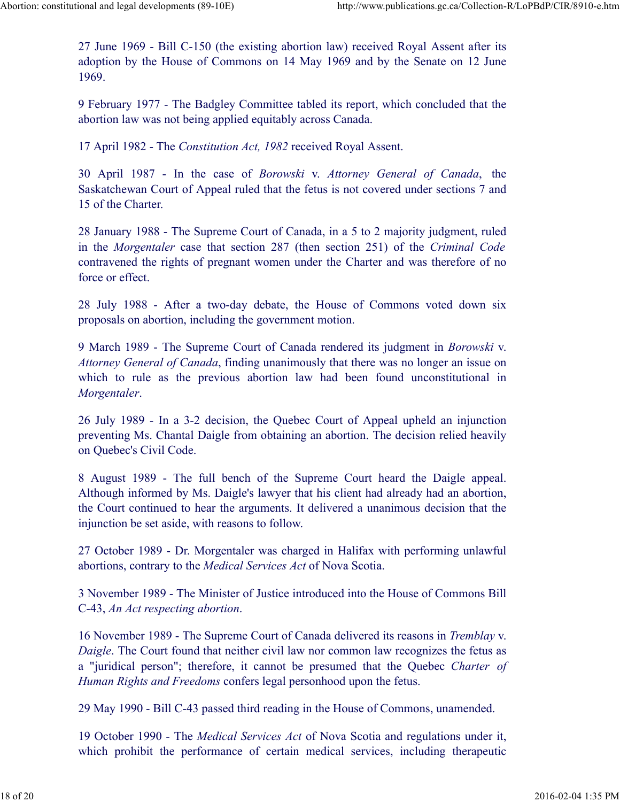27 June 1969 - Bill C-150 (the existing abortion law) received Royal Assent after its adoption by the House of Commons on 14 May 1969 and by the Senate on 12 June 1969. Abortion: constitutional and legal developments (89-10E) http://www.publications.gc.ca/Collection-R/LoPBdP/CIR/8910-e.htm<br>27 June 1969 - Bill C-150 (the existing abortion law) received Royal Assent after its<br>adoption by th

9 February 1977 - The Badgley Committee tabled its report, which concluded that the abortion law was not being applied equitably across Canada.

17 April 1982 - The Constitution Act, 1982 received Royal Assent.

30 April 1987 - In the case of *Borowski* v. Attorney General of the chase of the case of Canada, the case of Commons on 14 May 1969 and by the Senate on 12 June 1969.<br>
9 February 1977 - The Badgley Committee tabled its re Saskatchewan Court of Appeal ruled that the fetus is not covered under sections 7 and 15 of the Charter.

28 January 1988 - The Supreme Court of Canada, in a 5 to 2 majority judgment, ruled in the Morgentaler case that section 287 (then section 251) of the Criminal Code contravened the rights of pregnant women under the Charter and was therefore of no force or effect. 27 June 1969 - Bill C-150 (the existing abortion law) received Royal Assent after its<br>adoption by the House of Commons on 14 May 1969 and by the Senate on 12 June<br>1969.<br>9 February 1977 - The Badgley Committee tabled its re abortion law was not being applied equitably across Canada.<br>
17 April 1982 - The Constitution Act, 1982 received Royal Assent.<br>
30 April 1987 - In the case of *Borowski v. Attorney General of Canada*, the<br>
Saskatchewan Cou 28 January 1988 - The Supreme Court of Canada, in a 5 to 2 majority judgment, ruled<br>in the *Morgentaler* case that section 287 (then section 251) of the *Criminal Code*<br>contravened the rights of pregnant women under the Ch

proposals on abortion, including the government motion.

9 March 1989 - The Supreme Court of Canada rendered its judgment in Borowski v. Attorney General of Canada, finding unanimously that there was no longer an issue on Morgentaler.

26 July 1989 - In a 3-2 decision, the Quebec Court of Appeal upheld an injunction preventing Ms. Chantal Daigle from obtaining an abortion. The decision relied heavily on Quebec's Civil Code.

Although informed by Ms. Daigle's lawyer that his client had already had an abortion, the Court continued to hear the arguments. It delivered a unanimous decision that the injunction be set aside, with reasons to follow.

27 October 1989 - Dr. Morgentaler was charged in Halifax with performing unlawful abortions, contrary to the Medical Services Act of Nova Scotia.

3 November 1989 - The Minister of Justice introduced into the House of Commons Bill C-43, An Act respecting abortion.

16 November 1989 - The Supreme Court of Canada delivered its reasons in Tremblay v. Daigle. The Court found that neither civil law nor common law recognizes the fetus as 26 July 1989 - In a 3-2 decision, the Quebec Court of Appeal upheld an injunction<br>preventing Ms. Chantal Daigle from obtaining an abortion. The decision relied heavily<br>on Quebec's Civil Code.<br>
8 August 1989 - The full ben Human Rights and Freedoms confers legal personhood upon the fetus. Although informed by Ms. Daigle's lawyer that his client had already had an abortion,<br>the Court continued to hear the arguments. It delivered a unanimous decision that the<br>injunction be set aside, with reasons to follow.<br> 27 October 1989 - Dr. Morgentaler was charged in Halifax with performing unlawful<br>abortions, contrary to the *Medical Services Act* of Nova Scotia.<br>3 November 1989 - The Minister of Justice introduced into the House of Co

29 May 1990 - Bill C-43 passed third reading in the House of Commons, unamended.

19 October 1990 - The Medical Services Act of Nova Scotia and regulations under it,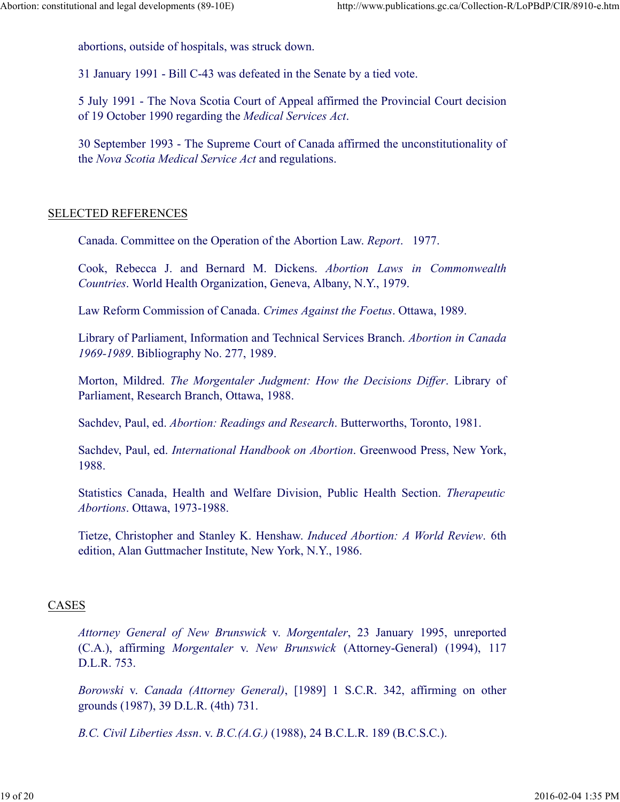abortions, outside of hospitals, was struck down. Abortion: constitutional and legal developments (89-10E) http://www.publications.gc.ca/Collection-R/LoPBdP/CIR/8910-e.htm<br>abortions, outside of hospitals, was struck down.<br>21 January 1001 – Bill G 43 was defected in the Se

31 January 1991 - Bill C-43 was defeated in the Senate by a tied vote.

5 July 1991 - The Nova Scotia Court of Appeal affirmed the Provincial Court decision of 19 October 1990 regarding the Medical Services Act.

30 September 1993 - The Supreme Court of Canada affirmed the unconstitutionality of the Nova Scotia Medical Service Act and regulations. ona and egal developments (89-10E)<br>
abortions, outside of hospitals, was struck down.<br>
21 January 1991 - Bill C-43 was defeated in the Senate by a tied vote.<br>
5 July 1991 - The Nova Scotia Court of Appeal affirmed the Prov

#### SELECTED REFERENCES

Canada. Committee on the Operation of the Abortion Law. Report. 1977.

Countries. World Health Organization, Geneva, Albany, N.Y., 1979.

Law Reform Commission of Canada. Crimes Against the Foetus. Ottawa, 1989.

Library of Parliament, Information and Technical Services Branch. Abortion in Canada 1969-1989. Bibliography No. 277, 1989.

Morton, Mildred. The Morgentaler Judgment: How the Decisions Differ. Library of Parliament, Research Branch, Ottawa, 1988.

Sachdev, Paul, ed. Abortion: Readings and Research. Butterworths, Toronto, 1981.

Sachdev, Paul, ed. International Handbook on Abortion. Greenwood Press, New York, 1988.

Statistics Canada, Health and Welfare Division, Public Health Section. Therapeutic Abortions. Ottawa, 1973-1988.

Tietze, Christopher and Stanley K. Henshaw. Induced Abortion: A World Review. 6th edition, Alan Guttmacher Institute, New York, N.Y., 1986.

#### CASES

Morton, Mildred. *The Morgentaler Judgment: How the Decisions Differ*. Library of Parliament, Research Branch, Ottava, 1988.<br>
Sachdev, Paul, ed. *Abortion: Readings and Research.* Butterworths, Toronto, 1981.<br>
Sachdev, Pau Parliament, Research Branch, Ottawa, 1988.<br>
Sachdev, Paul, ed. *Abortion: Readings and Research*. Butterworths, Toronto, 1981.<br>
Sachdev, Paul, ed. *International Handbook on Abortion*. Greenwood Press, New York,<br>
1988.<br>
St D.L.R. 753. Sachdev, Paul, ed. *International Handbook on Abortion*. Greenwood Press, New York, 1988.<br>
Statistics Canada, Health and Welfare Division, Public Health Section. *Therapeutic Abortions*. Ottawa, 1973-1988.<br>
Tietze, Christo Thetze, Christopher and Stanley K. Henshaw. *Induced Abortion: A World Review*. 6th<br>
edition, Alan Guttmacher Institute, New York, N.Y., 1986.<br>
CASES<br> *Altorney General of New Brunswick v. Morgentaler*, 23 January 1995, un

grounds (1987), 39 D.L.R. (4th) 731.

B.C. Civil Liberties Assn. v. B.C.(A.G.) (1988), 24 B.C.L.R. 189 (B.C.S.C.).